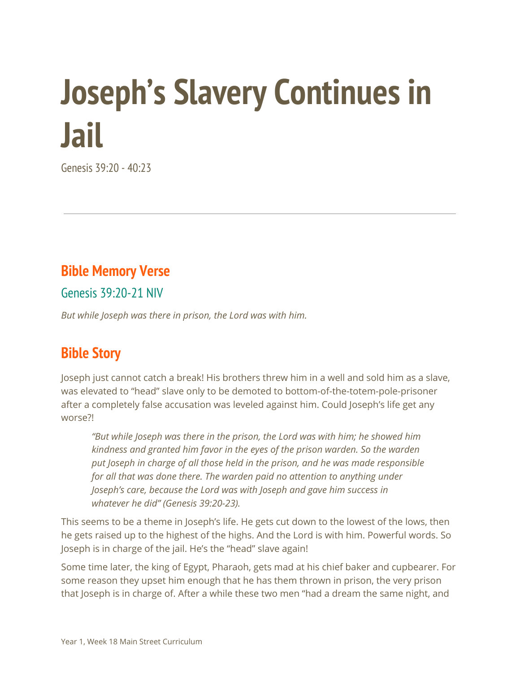# **Joseph's Slavery Continues in Jail**

Genesis 39:20 - 40:23

### **Bible Memory Verse**

Genesis 39:20-21 NIV

*But while Joseph was there in prison, the Lord was with him.*

## **Bible Story**

Joseph just cannot catch a break! His brothers threw him in a well and sold him as a slave, was elevated to "head" slave only to be demoted to bottom-of-the-totem-pole-prisoner after a completely false accusation was leveled against him. Could Joseph's life get any worse?!

*"But while Joseph was there in the prison, the Lord was with him; he showed him kindness and granted him favor in the eyes of the prison warden. So the warden put Joseph in charge of all those held in the prison, and he was made responsible for all that was done there. The warden paid no attention to anything under Joseph's care, because the Lord was with Joseph and gave him success in whatever he did" (Genesis 39:20-23).*

This seems to be a theme in Joseph's life. He gets cut down to the lowest of the lows, then he gets raised up to the highest of the highs. And the Lord is with him. Powerful words. So Joseph is in charge of the jail. He's the "head" slave again!

Some time later, the king of Egypt, Pharaoh, gets mad at his chief baker and cupbearer. For some reason they upset him enough that he has them thrown in prison, the very prison that Joseph is in charge of. After a while these two men "had a dream the same night, and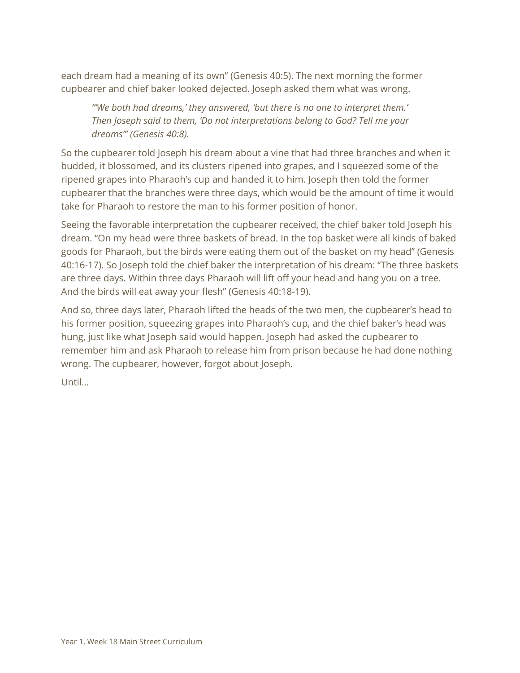each dream had a meaning of its own" (Genesis 40:5). The next morning the former cupbearer and chief baker looked dejected. Joseph asked them what was wrong.

*"'We both had dreams,' they answered, 'but there is no one to interpret them.' Then Joseph said to them, 'Do not interpretations belong to God? Tell me your dreams'" (Genesis 40:8).*

So the cupbearer told Joseph his dream about a vine that had three branches and when it budded, it blossomed, and its clusters ripened into grapes, and I squeezed some of the ripened grapes into Pharaoh's cup and handed it to him. Joseph then told the former cupbearer that the branches were three days, which would be the amount of time it would take for Pharaoh to restore the man to his former position of honor.

Seeing the favorable interpretation the cupbearer received, the chief baker told Joseph his dream. "On my head were three baskets of bread. In the top basket were all kinds of baked goods for Pharaoh, but the birds were eating them out of the basket on my head" (Genesis 40:16-17). So Joseph told the chief baker the interpretation of his dream: "The three baskets are three days. Within three days Pharaoh will lift off your head and hang you on a tree. And the birds will eat away your flesh" (Genesis 40:18-19).

And so, three days later, Pharaoh lifted the heads of the two men, the cupbearer's head to his former position, squeezing grapes into Pharaoh's cup, and the chief baker's head was hung, just like what Joseph said would happen. Joseph had asked the cupbearer to remember him and ask Pharaoh to release him from prison because he had done nothing wrong. The cupbearer, however, forgot about Joseph.

Until…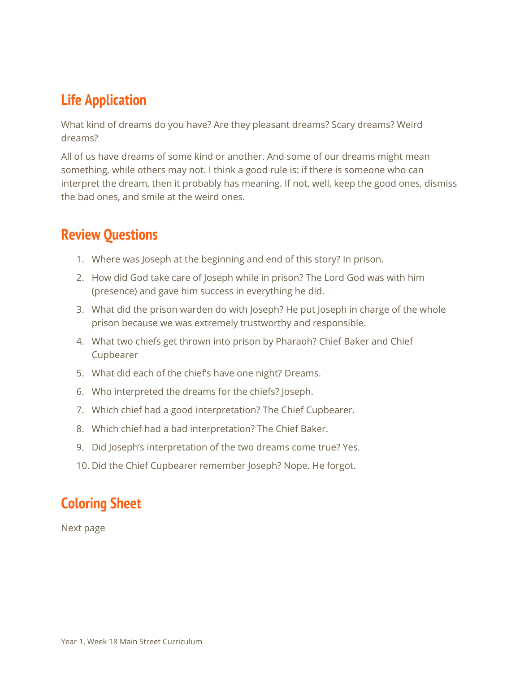## **Life Application**

What kind of dreams do you have? Are they pleasant dreams? Scary dreams? Weird dreams?

All of us have dreams of some kind or another. And some of our dreams might mean something, while others may not. I think a good rule is: if there is someone who can interpret the dream, then it probably has meaning. If not, well, keep the good ones, dismiss the bad ones, and smile at the weird ones.

### **Review Questions**

- 1. Where was Joseph at the beginning and end of this story? In prison.
- 2. How did God take care of Joseph while in prison? The Lord God was with him (presence) and gave him success in everything he did.
- 3. What did the prison warden do with Joseph? He put Joseph in charge of the whole prison because we was extremely trustworthy and responsible.
- 4. What two chiefs get thrown into prison by Pharaoh? Chief Baker and Chief Cupbearer
- 5. What did each of the chief's have one night? Dreams.
- 6. Who interpreted the dreams for the chiefs? Joseph.
- 7. Which chief had a good interpretation? The Chief Cupbearer.
- 8. Which chief had a bad interpretation? The Chief Baker.
- 9. Did Joseph's interpretation of the two dreams come true? Yes.
- 10. Did the Chief Cupbearer remember Joseph? Nope. He forgot.

#### **Coloring Sheet**

Next page